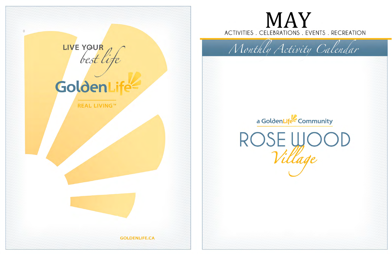